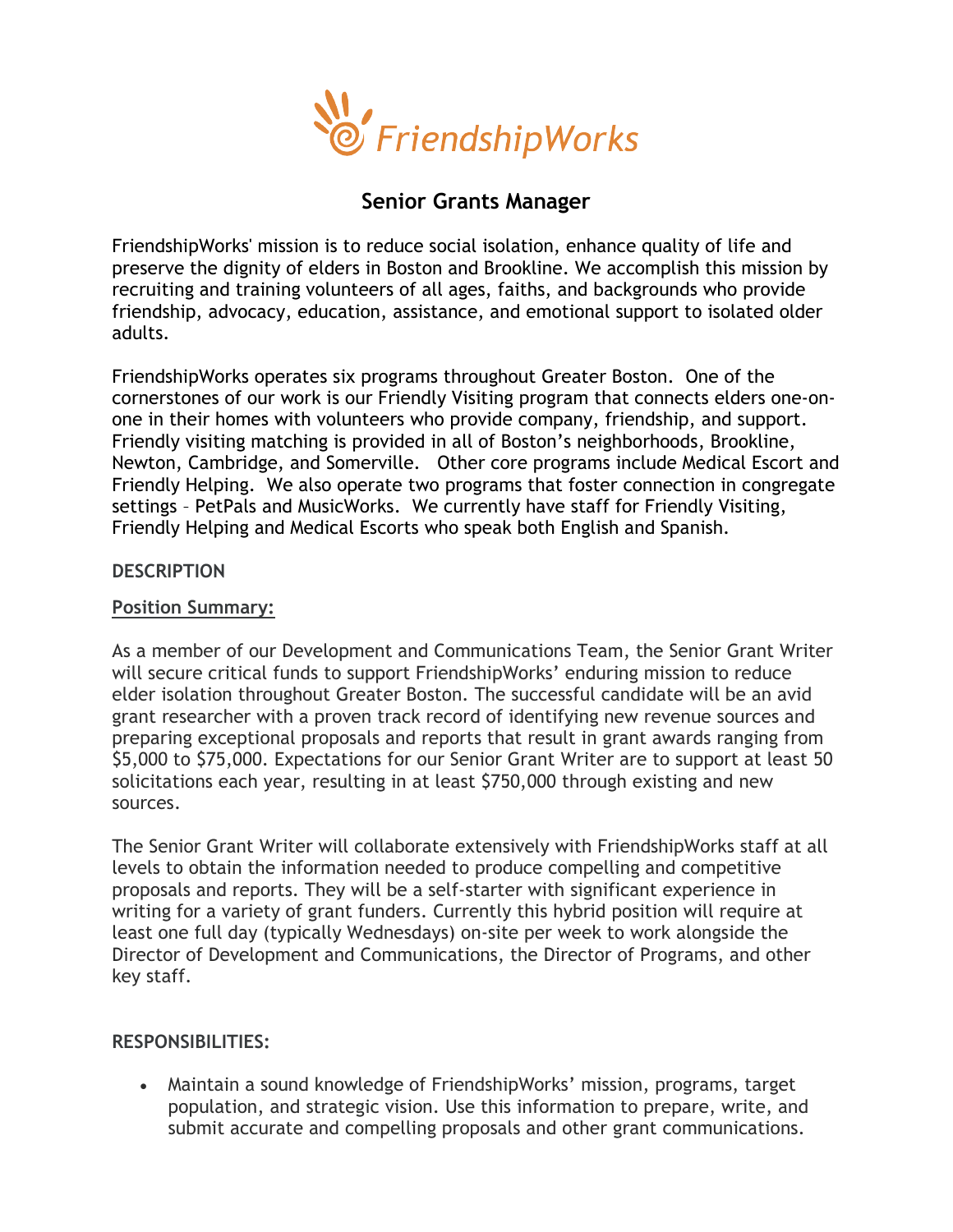

# **Senior Grants Manager**

FriendshipWorks' mission is to reduce social isolation, enhance quality of life and preserve the dignity of elders in Boston and Brookline. We accomplish this mission by recruiting and training volunteers of all ages, faiths, and backgrounds who provide friendship, advocacy, education, assistance, and emotional support to isolated older adults.

FriendshipWorks operates six programs throughout Greater Boston. One of the cornerstones of our work is our Friendly Visiting program that connects elders one-onone in their homes with volunteers who provide company, friendship, and support. Friendly visiting matching is provided in all of Boston's neighborhoods, Brookline, Newton, Cambridge, and Somerville. Other core programs include Medical Escort and Friendly Helping. We also operate two programs that foster connection in congregate settings – PetPals and MusicWorks. We currently have staff for Friendly Visiting, Friendly Helping and Medical Escorts who speak both English and Spanish.

### **DESCRIPTION**

## **Position Summary:**

As a member of our Development and Communications Team, the Senior Grant Writer will secure critical funds to support FriendshipWorks' enduring mission to reduce elder isolation throughout Greater Boston. The successful candidate will be an avid grant researcher with a proven track record of identifying new revenue sources and preparing exceptional proposals and reports that result in grant awards ranging from \$5,000 to \$75,000. Expectations for our Senior Grant Writer are to support at least 50 solicitations each year, resulting in at least \$750,000 through existing and new sources.

The Senior Grant Writer will collaborate extensively with FriendshipWorks staff at all levels to obtain the information needed to produce compelling and competitive proposals and reports. They will be a self-starter with significant experience in writing for a variety of grant funders. Currently this hybrid position will require at least one full day (typically Wednesdays) on-site per week to work alongside the Director of Development and Communications, the Director of Programs, and other key staff.

### **RESPONSIBILITIES:**

• Maintain a sound knowledge of FriendshipWorks' mission, programs, target population, and strategic vision. Use this information to prepare, write, and submit accurate and compelling proposals and other grant communications.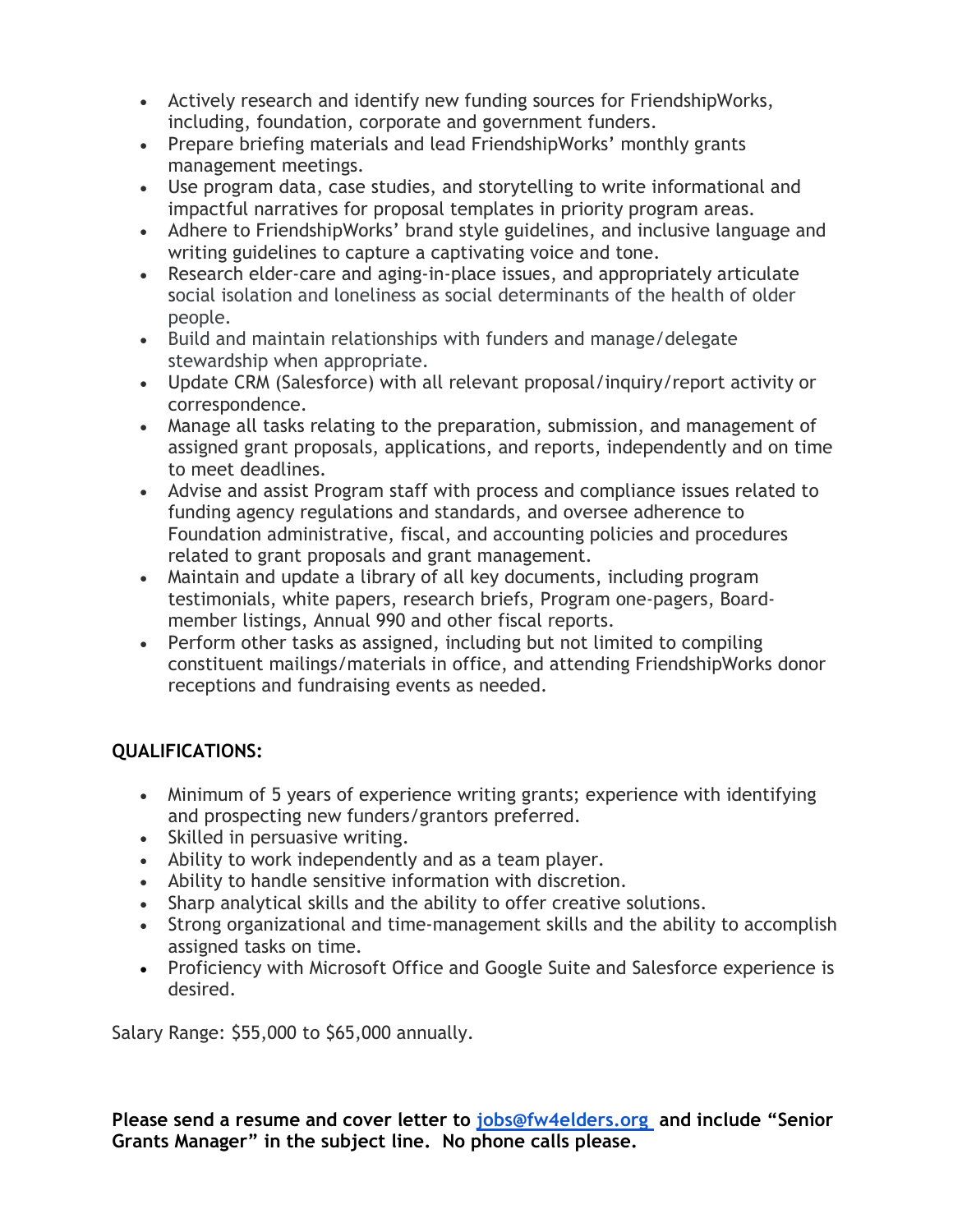- Actively research and identify new funding sources for FriendshipWorks, including, foundation, corporate and government funders.
- Prepare briefing materials and lead FriendshipWorks' monthly grants management meetings.
- Use program data, case studies, and storytelling to write informational and impactful narratives for proposal templates in priority program areas.
- Adhere to FriendshipWorks' brand style guidelines, and inclusive language and writing guidelines to capture a captivating voice and tone.
- Research elder-care and aging-in-place issues, and appropriately articulate social isolation and loneliness as social determinants of the health of older people.
- Build and maintain relationships with funders and manage/delegate stewardship when appropriate.
- Update CRM (Salesforce) with all relevant proposal/inquiry/report activity or correspondence.
- Manage all tasks relating to the preparation, submission, and management of assigned grant proposals, applications, and reports, independently and on time to meet deadlines.
- Advise and assist Program staff with process and compliance issues related to funding agency regulations and standards, and oversee adherence to Foundation administrative, fiscal, and accounting policies and procedures related to grant proposals and grant management.
- Maintain and update a library of all key documents, including program testimonials, white papers, research briefs, Program one-pagers, Boardmember listings, Annual 990 and other fiscal reports.
- Perform other tasks as assigned, including but not limited to compiling constituent mailings/materials in office, and attending FriendshipWorks donor receptions and fundraising events as needed.

# **QUALIFICATIONS:**

- Minimum of 5 years of experience writing grants; experience with identifying and prospecting new funders/grantors preferred.
- Skilled in persuasive writing.
- Ability to work independently and as a team player.
- Ability to handle sensitive information with discretion.
- Sharp analytical skills and the ability to offer creative solutions.
- Strong organizational and time-management skills and the ability to accomplish assigned tasks on time.
- Proficiency with Microsoft Office and Google Suite and Salesforce experience is desired.

Salary Range: \$55,000 to \$65,000 annually.

**Please send a resume and cover letter to [jobs@fw4elders.org](mailto:jobs@fw4elders.org) and include "Senior Grants Manager" in the subject line. No phone calls please.**